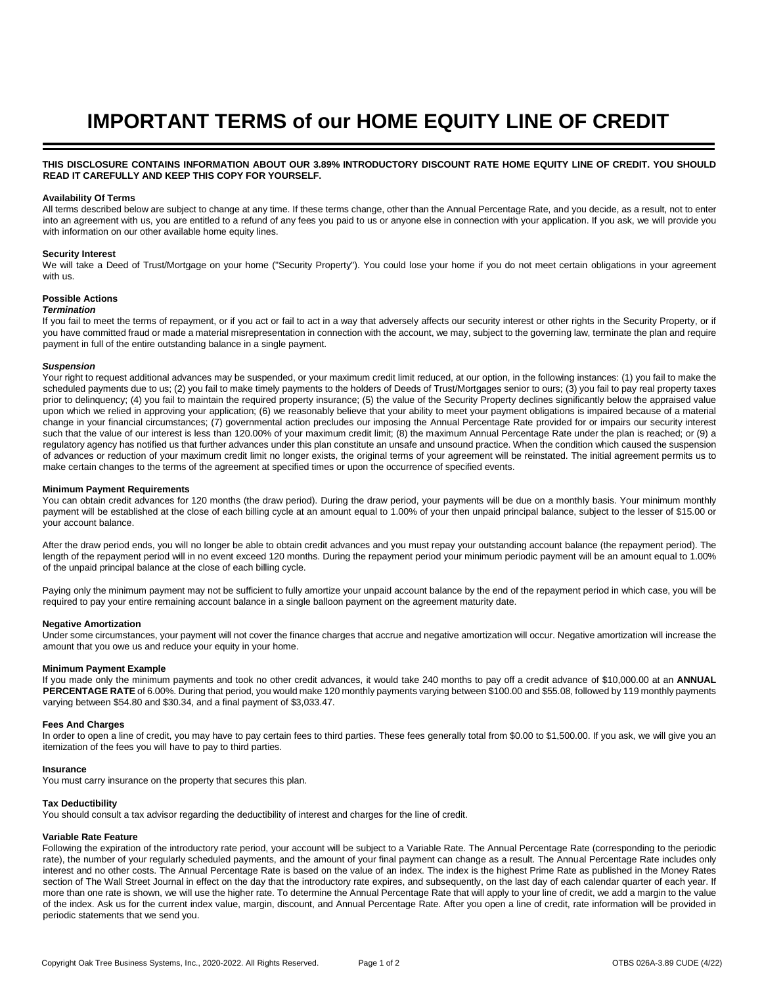# **IMPORTANT TERMS of our HOME EQUITY LINE OF CREDIT**

## **THIS DISCLOSURE CONTAINS INFORMATION ABOUT OUR 3.89% INTRODUCTORY DISCOUNT RATE HOME EQUITY LINE OF CREDIT. YOU SHOULD READ IT CAREFULLY AND KEEP THIS COPY FOR YOURSELF.**

## **Availability Of Terms**

All terms described below are subject to change at any time. If these terms change, other than the Annual Percentage Rate, and you decide, as a result, not to enter into an agreement with us, you are entitled to a refund of any fees you paid to us or anyone else in connection with your application. If you ask, we will provide you with information on our other available home equity lines.

## **Security Interest**

We will take a Deed of Trust/Mortgage on your home ("Security Property"). You could lose your home if you do not meet certain obligations in your agreement with us.

## **Possible Actions**

## *Termination*

If you fail to meet the terms of repayment, or if you act or fail to act in a way that adversely affects our security interest or other rights in the Security Property, or if you have committed fraud or made a material misrepresentation in connection with the account, we may, subject to the governing law, terminate the plan and require payment in full of the entire outstanding balance in a single payment.

## *Suspension*

Your right to request additional advances may be suspended, or your maximum credit limit reduced, at our option, in the following instances: (1) you fail to make the scheduled payments due to us; (2) you fail to make timely payments to the holders of Deeds of Trust/Mortgages senior to ours; (3) you fail to pay real property taxes prior to delinquency; (4) you fail to maintain the required property insurance; (5) the value of the Security Property declines significantly below the appraised value upon which we relied in approving your application; (6) we reasonably believe that your ability to meet your payment obligations is impaired because of a material change in your financial circumstances; (7) governmental action precludes our imposing the Annual Percentage Rate provided for or impairs our security interest such that the value of our interest is less than 120.00% of your maximum credit limit; (8) the maximum Annual Percentage Rate under the plan is reached; or (9) a regulatory agency has notified us that further advances under this plan constitute an unsafe and unsound practice. When the condition which caused the suspension of advances or reduction of your maximum credit limit no longer exists, the original terms of your agreement will be reinstated. The initial agreement permits us to make certain changes to the terms of the agreement at specified times or upon the occurrence of specified events.

#### **Minimum Payment Requirements**

You can obtain credit advances for 120 months (the draw period). During the draw period, your payments will be due on a monthly basis. Your minimum monthly payment will be established at the close of each billing cycle at an amount equal to 1.00% of your then unpaid principal balance, subject to the lesser of \$15.00 or your account balance.

After the draw period ends, you will no longer be able to obtain credit advances and you must repay your outstanding account balance (the repayment period). The length of the repayment period will in no event exceed 120 months. During the repayment period your minimum periodic payment will be an amount equal to 1.00% of the unpaid principal balance at the close of each billing cycle.

Paying only the minimum payment may not be sufficient to fully amortize your unpaid account balance by the end of the repayment period in which case, you will be required to pay your entire remaining account balance in a single balloon payment on the agreement maturity date.

## **Negative Amortization**

Under some circumstances, your payment will not cover the finance charges that accrue and negative amortization will occur. Negative amortization will increase the amount that you owe us and reduce your equity in your home.

## **Minimum Payment Example**

If you made only the minimum payments and took no other credit advances, it would take 240 months to pay off a credit advance of \$10,000.00 at an **ANNUAL PERCENTAGE RATE** of 6.00%. During that period, you would make 120 monthly payments varying between \$100.00 and \$55.08, followed by 119 monthly payments varying between \$54.80 and \$30.34, and a final payment of \$3,033.47.

## **Fees And Charges**

In order to open a line of credit, you may have to pay certain fees to third parties. These fees generally total from \$0.00 to \$1,500.00. If you ask, we will give you an itemization of the fees you will have to pay to third parties.

## **Insurance**

You must carry insurance on the property that secures this plan.

## **Tax Deductibility**

You should consult a tax advisor regarding the deductibility of interest and charges for the line of credit.

## **Variable Rate Feature**

Following the expiration of the introductory rate period, your account will be subject to a Variable Rate. The Annual Percentage Rate (corresponding to the periodic rate), the number of your regularly scheduled payments, and the amount of your final payment can change as a result. The Annual Percentage Rate includes only interest and no other costs. The Annual Percentage Rate is based on the value of an index. The index is the highest Prime Rate as published in the Money Rates section of The Wall Street Journal in effect on the day that the introductory rate expires, and subsequently, on the last day of each calendar quarter of each year. If more than one rate is shown, we will use the higher rate. To determine the Annual Percentage Rate that will apply to your line of credit, we add a margin to the value of the index. Ask us for the current index value, margin, discount, and Annual Percentage Rate. After you open a line of credit, rate information will be provided in periodic statements that we send you.